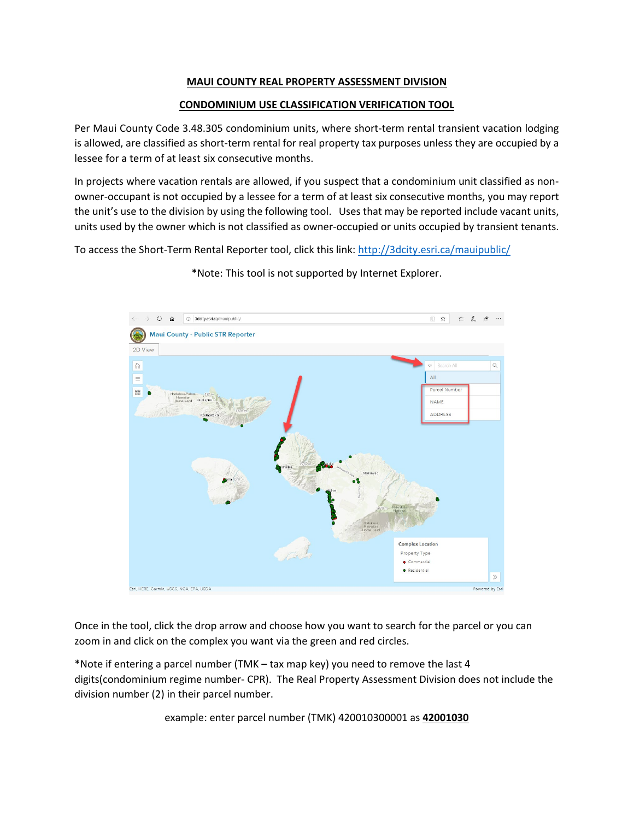## **MAUI COUNTY REAL PROPERTY ASSESSMENT DIVISION**

## **CONDOMINIUM USE CLASSIFICATION VERIFICATION TOOL**

Per Maui County Code 3.48.305 condominium units, where short-term rental transient vacation lodging is allowed, are classified as short-term rental for real property tax purposes unless they are occupied by a lessee for a term of at least six consecutive months.

In projects where vacation rentals are allowed, if you suspect that a condominium unit classified as nonowner-occupant is not occupied by a lessee for a term of at least six consecutive months, you may report the unit's use to the division by using the following tool. Uses that may be reported include vacant units, units used by the owner which is not classified as owner-occupied or units occupied by transient tenants.

To access the Short-Term Rental Reporter tool, click this link:<http://3dcity.esri.ca/mauipublic/>



\*Note: This tool is not supported by Internet Explorer.

Once in the tool, click the drop arrow and choose how you want to search for the parcel or you can zoom in and click on the complex you want via the green and red circles.

\*Note if entering a parcel number (TMK – tax map key) you need to remove the last 4 digits(condominium regime number- CPR). The Real Property Assessment Division does not include the division number (2) in their parcel number.

example: enter parcel number (TMK) 420010300001 as **42001030**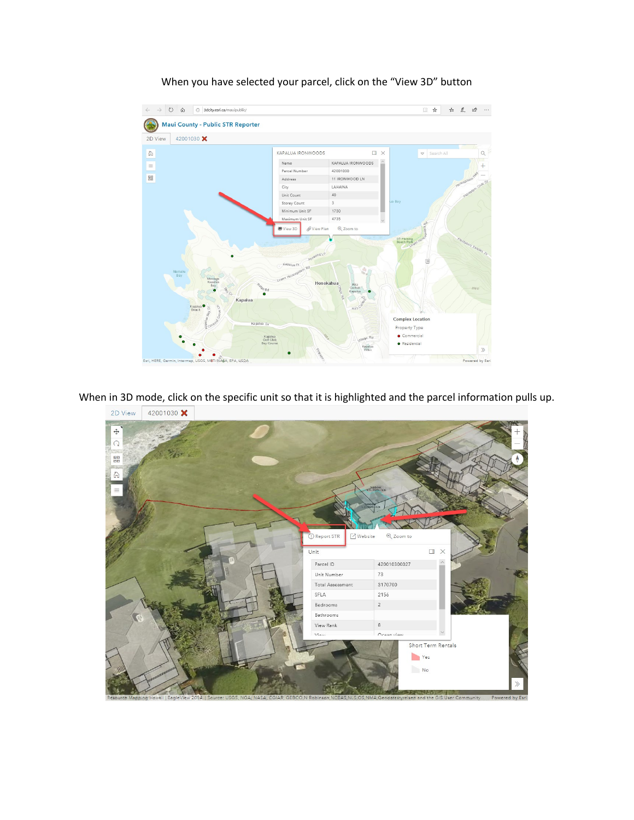

When you have selected your parcel, click on the "View 3D" button

When in 3D mode, click on the specific unit so that it is highlighted and the parcel information pulls up.

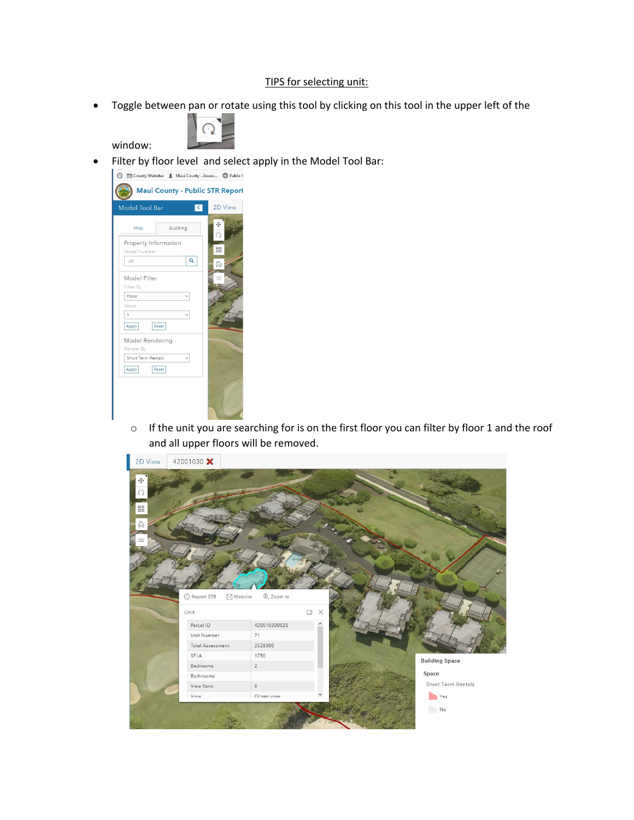## TIPS for selecting unit:

• Toggle between pan or rotate using this tool by clicking on this tool in the upper left of the



window:

Filter by floor level and select apply in the Model Tool Bar:



o If the unit you are searching for is on the first floor you can filter by floor 1 and the roof and all upper floors will be removed.

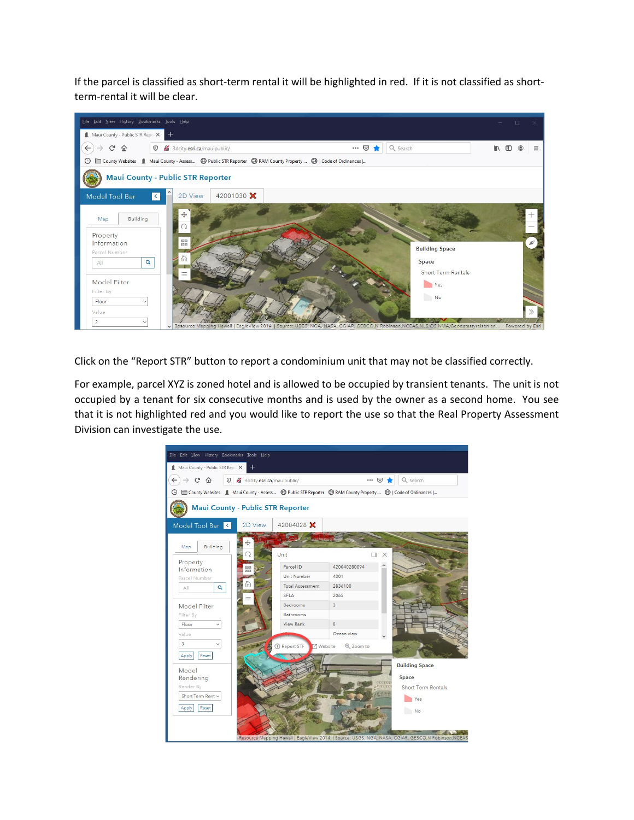If the parcel is classified as short-term rental it will be highlighted in red. If it is not classified as shortterm-rental it will be clear.



Click on the "Report STR" button to report a condominium unit that may not be classified correctly.

For example, parcel XYZ is zoned hotel and is allowed to be occupied by transient tenants. The unit is not occupied by a tenant for six consecutive months and is used by the owner as a second home. You see that it is not highlighted red and you would like to report the use so that the Real Property Assessment Division can investigate the use.